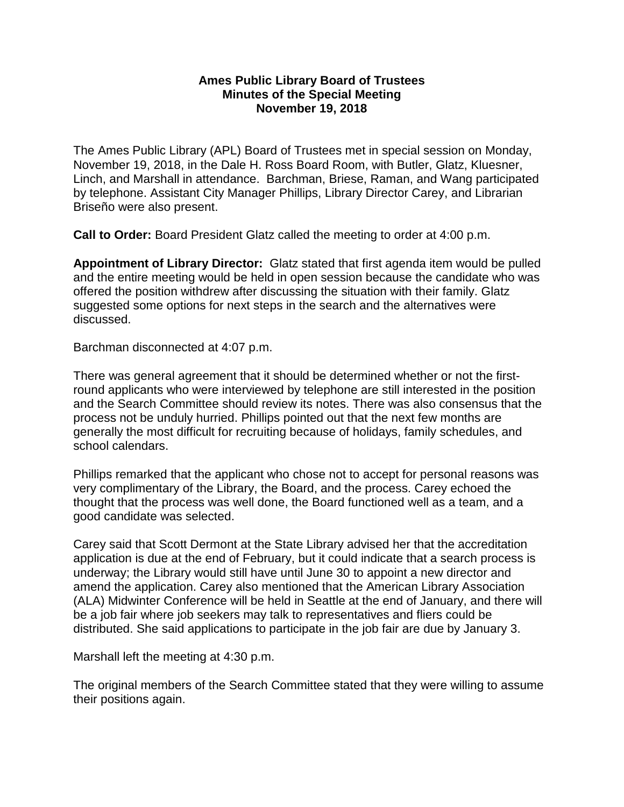## **Ames Public Library Board of Trustees Minutes of the Special Meeting November 19, 2018**

The Ames Public Library (APL) Board of Trustees met in special session on Monday, November 19, 2018, in the Dale H. Ross Board Room, with Butler, Glatz, Kluesner, Linch, and Marshall in attendance. Barchman, Briese, Raman, and Wang participated by telephone. Assistant City Manager Phillips, Library Director Carey, and Librarian Briseño were also present.

**Call to Order:** Board President Glatz called the meeting to order at 4:00 p.m.

**Appointment of Library Director:** Glatz stated that first agenda item would be pulled and the entire meeting would be held in open session because the candidate who was offered the position withdrew after discussing the situation with their family. Glatz suggested some options for next steps in the search and the alternatives were discussed.

Barchman disconnected at 4:07 p.m.

There was general agreement that it should be determined whether or not the firstround applicants who were interviewed by telephone are still interested in the position and the Search Committee should review its notes. There was also consensus that the process not be unduly hurried. Phillips pointed out that the next few months are generally the most difficult for recruiting because of holidays, family schedules, and school calendars.

Phillips remarked that the applicant who chose not to accept for personal reasons was very complimentary of the Library, the Board, and the process. Carey echoed the thought that the process was well done, the Board functioned well as a team, and a good candidate was selected.

Carey said that Scott Dermont at the State Library advised her that the accreditation application is due at the end of February, but it could indicate that a search process is underway; the Library would still have until June 30 to appoint a new director and amend the application. Carey also mentioned that the American Library Association (ALA) Midwinter Conference will be held in Seattle at the end of January, and there will be a job fair where job seekers may talk to representatives and fliers could be distributed. She said applications to participate in the job fair are due by January 3.

Marshall left the meeting at 4:30 p.m.

The original members of the Search Committee stated that they were willing to assume their positions again.